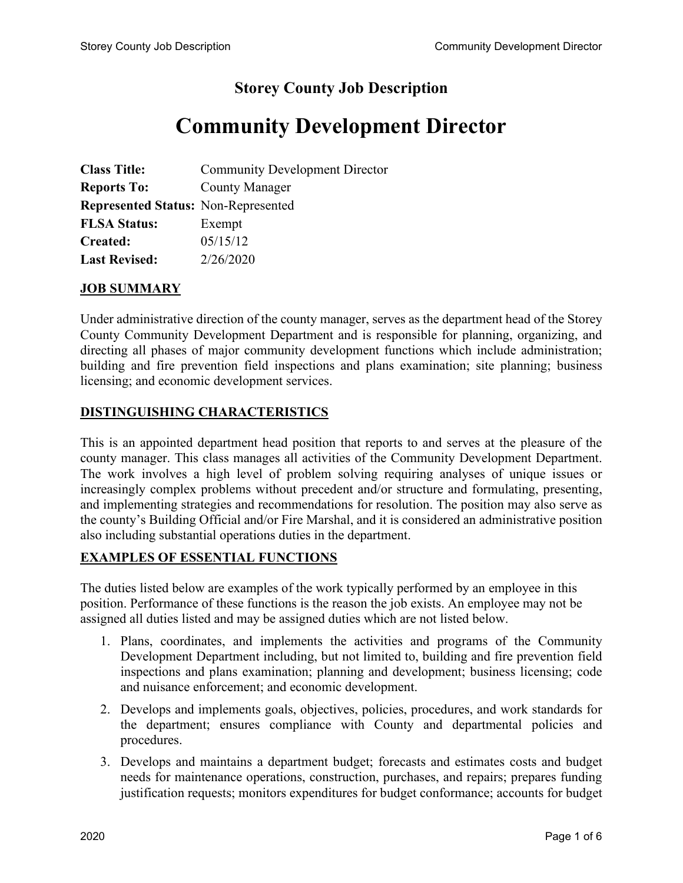## **Storey County Job Description**

# **Community Development Director**

| <b>Class Title:</b>                        | <b>Community Development Director</b> |
|--------------------------------------------|---------------------------------------|
| <b>Reports To:</b>                         | <b>County Manager</b>                 |
| <b>Represented Status: Non-Represented</b> |                                       |
| <b>FLSA Status:</b>                        | Exempt                                |
| <b>Created:</b>                            | 05/15/12                              |
| <b>Last Revised:</b>                       | 2/26/2020                             |

#### **JOB SUMMARY**

Under administrative direction of the county manager, serves as the department head of the Storey County Community Development Department and is responsible for planning, organizing, and directing all phases of major community development functions which include administration; building and fire prevention field inspections and plans examination; site planning; business licensing; and economic development services.

#### **DISTINGUISHING CHARACTERISTICS**

This is an appointed department head position that reports to and serves at the pleasure of the county manager. This class manages all activities of the Community Development Department. The work involves a high level of problem solving requiring analyses of unique issues or increasingly complex problems without precedent and/or structure and formulating, presenting, and implementing strategies and recommendations for resolution. The position may also serve as the county's Building Official and/or Fire Marshal, and it is considered an administrative position also including substantial operations duties in the department.

#### **EXAMPLES OF ESSENTIAL FUNCTIONS**

The duties listed below are examples of the work typically performed by an employee in this position. Performance of these functions is the reason the job exists. An employee may not be assigned all duties listed and may be assigned duties which are not listed below.

- 1. Plans, coordinates, and implements the activities and programs of the Community Development Department including, but not limited to, building and fire prevention field inspections and plans examination; planning and development; business licensing; code and nuisance enforcement; and economic development.
- 2. Develops and implements goals, objectives, policies, procedures, and work standards for the department; ensures compliance with County and departmental policies and procedures.
- 3. Develops and maintains a department budget; forecasts and estimates costs and budget needs for maintenance operations, construction, purchases, and repairs; prepares funding justification requests; monitors expenditures for budget conformance; accounts for budget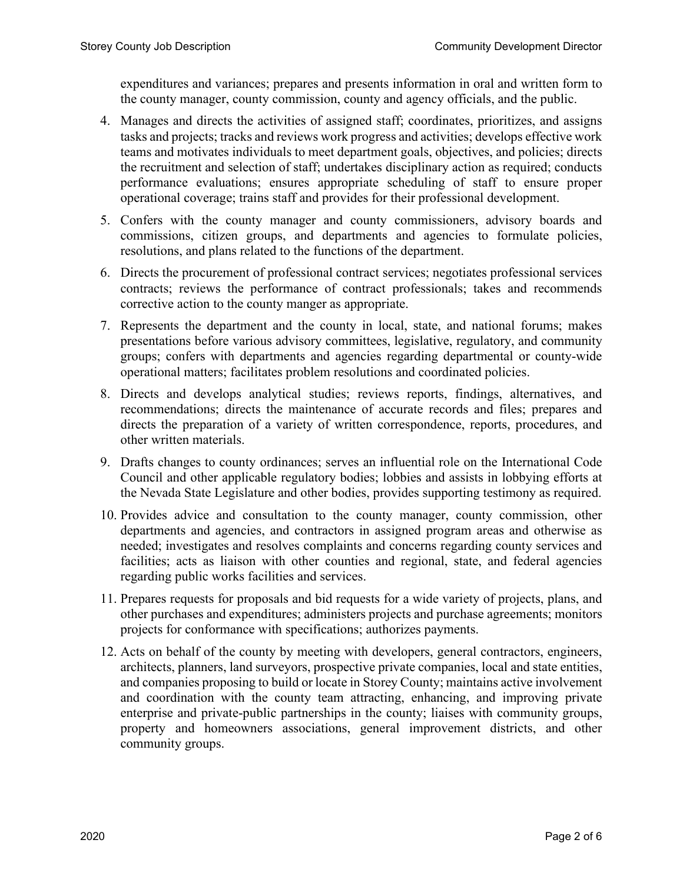expenditures and variances; prepares and presents information in oral and written form to the county manager, county commission, county and agency officials, and the public.

- 4. Manages and directs the activities of assigned staff; coordinates, prioritizes, and assigns tasks and projects; tracks and reviews work progress and activities; develops effective work teams and motivates individuals to meet department goals, objectives, and policies; directs the recruitment and selection of staff; undertakes disciplinary action as required; conducts performance evaluations; ensures appropriate scheduling of staff to ensure proper operational coverage; trains staff and provides for their professional development.
- 5. Confers with the county manager and county commissioners, advisory boards and commissions, citizen groups, and departments and agencies to formulate policies, resolutions, and plans related to the functions of the department.
- 6. Directs the procurement of professional contract services; negotiates professional services contracts; reviews the performance of contract professionals; takes and recommends corrective action to the county manger as appropriate.
- 7. Represents the department and the county in local, state, and national forums; makes presentations before various advisory committees, legislative, regulatory, and community groups; confers with departments and agencies regarding departmental or county-wide operational matters; facilitates problem resolutions and coordinated policies.
- 8. Directs and develops analytical studies; reviews reports, findings, alternatives, and recommendations; directs the maintenance of accurate records and files; prepares and directs the preparation of a variety of written correspondence, reports, procedures, and other written materials.
- 9. Drafts changes to county ordinances; serves an influential role on the International Code Council and other applicable regulatory bodies; lobbies and assists in lobbying efforts at the Nevada State Legislature and other bodies, provides supporting testimony as required.
- 10. Provides advice and consultation to the county manager, county commission, other departments and agencies, and contractors in assigned program areas and otherwise as needed; investigates and resolves complaints and concerns regarding county services and facilities; acts as liaison with other counties and regional, state, and federal agencies regarding public works facilities and services.
- 11. Prepares requests for proposals and bid requests for a wide variety of projects, plans, and other purchases and expenditures; administers projects and purchase agreements; monitors projects for conformance with specifications; authorizes payments.
- 12. Acts on behalf of the county by meeting with developers, general contractors, engineers, architects, planners, land surveyors, prospective private companies, local and state entities, and companies proposing to build or locate in Storey County; maintains active involvement and coordination with the county team attracting, enhancing, and improving private enterprise and private-public partnerships in the county; liaises with community groups, property and homeowners associations, general improvement districts, and other community groups.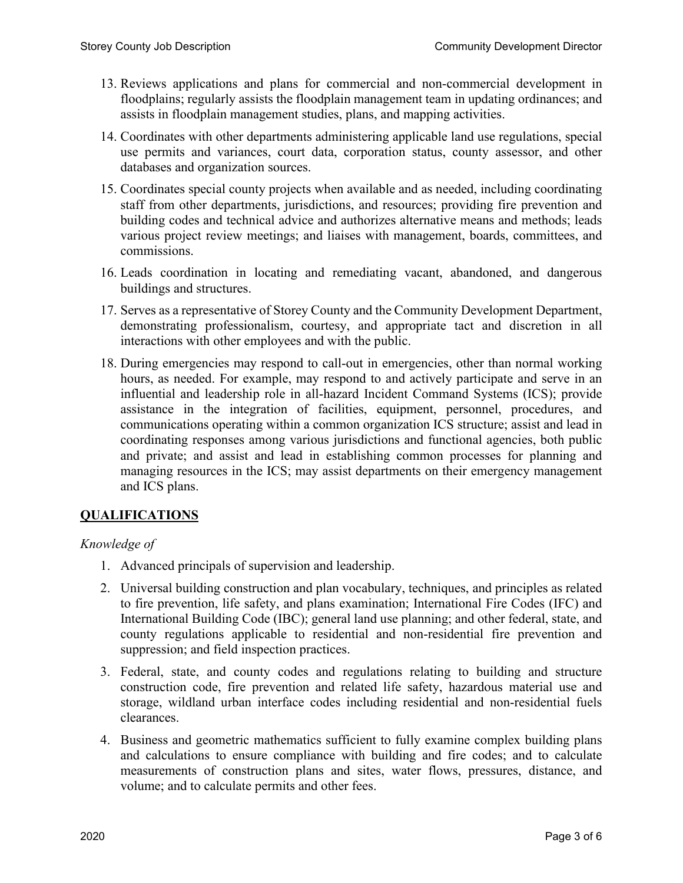- 13. Reviews applications and plans for commercial and non-commercial development in floodplains; regularly assists the floodplain management team in updating ordinances; and assists in floodplain management studies, plans, and mapping activities.
- 14. Coordinates with other departments administering applicable land use regulations, special use permits and variances, court data, corporation status, county assessor, and other databases and organization sources.
- 15. Coordinates special county projects when available and as needed, including coordinating staff from other departments, jurisdictions, and resources; providing fire prevention and building codes and technical advice and authorizes alternative means and methods; leads various project review meetings; and liaises with management, boards, committees, and commissions.
- 16. Leads coordination in locating and remediating vacant, abandoned, and dangerous buildings and structures.
- 17. Serves as a representative of Storey County and the Community Development Department, demonstrating professionalism, courtesy, and appropriate tact and discretion in all interactions with other employees and with the public.
- 18. During emergencies may respond to call-out in emergencies, other than normal working hours, as needed. For example, may respond to and actively participate and serve in an influential and leadership role in all-hazard Incident Command Systems (ICS); provide assistance in the integration of facilities, equipment, personnel, procedures, and communications operating within a common organization ICS structure; assist and lead in coordinating responses among various jurisdictions and functional agencies, both public and private; and assist and lead in establishing common processes for planning and managing resources in the ICS; may assist departments on their emergency management and ICS plans.

### **QUALIFICATIONS**

#### *Knowledge of*

- 1. Advanced principals of supervision and leadership.
- 2. Universal building construction and plan vocabulary, techniques, and principles as related to fire prevention, life safety, and plans examination; International Fire Codes (IFC) and International Building Code (IBC); general land use planning; and other federal, state, and county regulations applicable to residential and non-residential fire prevention and suppression; and field inspection practices.
- 3. Federal, state, and county codes and regulations relating to building and structure construction code, fire prevention and related life safety, hazardous material use and storage, wildland urban interface codes including residential and non-residential fuels clearances.
- 4. Business and geometric mathematics sufficient to fully examine complex building plans and calculations to ensure compliance with building and fire codes; and to calculate measurements of construction plans and sites, water flows, pressures, distance, and volume; and to calculate permits and other fees.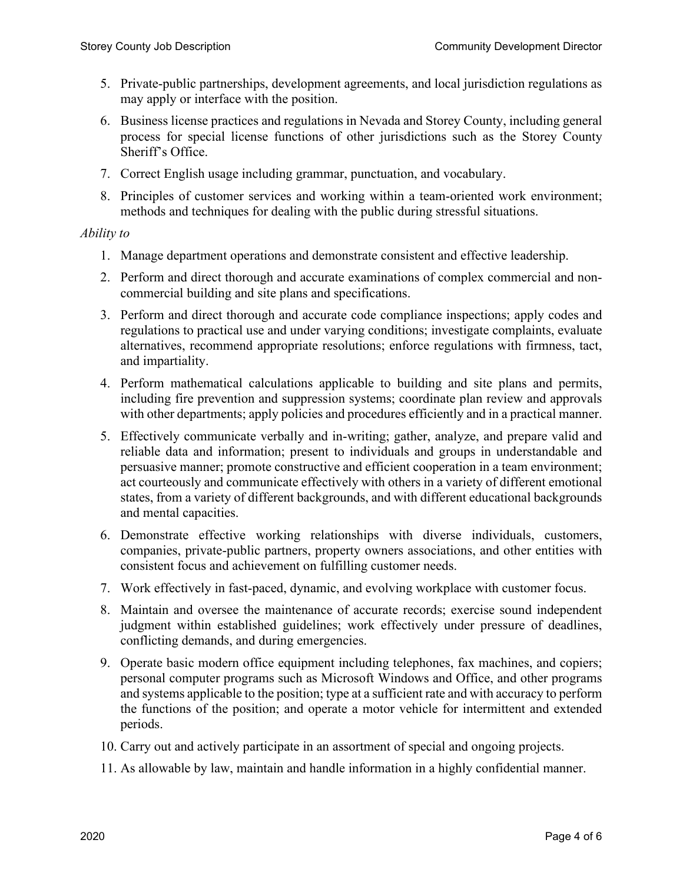- 5. Private-public partnerships, development agreements, and local jurisdiction regulations as may apply or interface with the position.
- 6. Business license practices and regulations in Nevada and Storey County, including general process for special license functions of other jurisdictions such as the Storey County Sheriff's Office.
- 7. Correct English usage including grammar, punctuation, and vocabulary.
- 8. Principles of customer services and working within a team-oriented work environment; methods and techniques for dealing with the public during stressful situations.

#### *Ability to*

- 1. Manage department operations and demonstrate consistent and effective leadership.
- 2. Perform and direct thorough and accurate examinations of complex commercial and noncommercial building and site plans and specifications.
- 3. Perform and direct thorough and accurate code compliance inspections; apply codes and regulations to practical use and under varying conditions; investigate complaints, evaluate alternatives, recommend appropriate resolutions; enforce regulations with firmness, tact, and impartiality.
- 4. Perform mathematical calculations applicable to building and site plans and permits, including fire prevention and suppression systems; coordinate plan review and approvals with other departments; apply policies and procedures efficiently and in a practical manner.
- 5. Effectively communicate verbally and in-writing; gather, analyze, and prepare valid and reliable data and information; present to individuals and groups in understandable and persuasive manner; promote constructive and efficient cooperation in a team environment; act courteously and communicate effectively with others in a variety of different emotional states, from a variety of different backgrounds, and with different educational backgrounds and mental capacities.
- 6. Demonstrate effective working relationships with diverse individuals, customers, companies, private-public partners, property owners associations, and other entities with consistent focus and achievement on fulfilling customer needs.
- 7. Work effectively in fast-paced, dynamic, and evolving workplace with customer focus.
- 8. Maintain and oversee the maintenance of accurate records; exercise sound independent judgment within established guidelines; work effectively under pressure of deadlines, conflicting demands, and during emergencies.
- 9. Operate basic modern office equipment including telephones, fax machines, and copiers; personal computer programs such as Microsoft Windows and Office, and other programs and systems applicable to the position; type at a sufficient rate and with accuracy to perform the functions of the position; and operate a motor vehicle for intermittent and extended periods.
- 10. Carry out and actively participate in an assortment of special and ongoing projects.
- 11. As allowable by law, maintain and handle information in a highly confidential manner.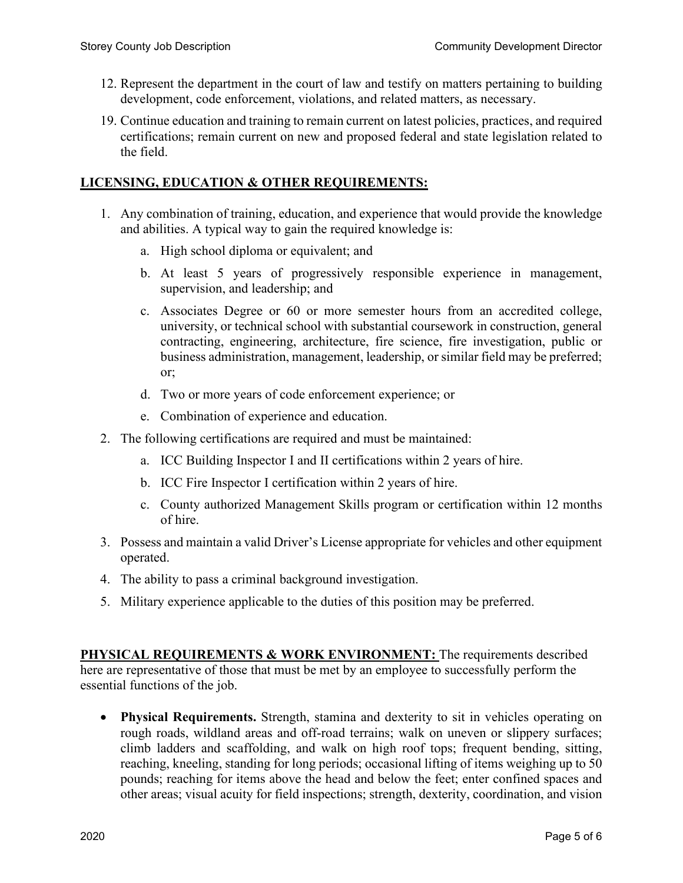- 12. Represent the department in the court of law and testify on matters pertaining to building development, code enforcement, violations, and related matters, as necessary.
- 19. Continue education and training to remain current on latest policies, practices, and required certifications; remain current on new and proposed federal and state legislation related to the field.

#### **LICENSING, EDUCATION & OTHER REQUIREMENTS:**

- 1. Any combination of training, education, and experience that would provide the knowledge and abilities. A typical way to gain the required knowledge is:
	- a. High school diploma or equivalent; and
	- b. At least 5 years of progressively responsible experience in management, supervision, and leadership; and
	- c. Associates Degree or 60 or more semester hours from an accredited college, university, or technical school with substantial coursework in construction, general contracting, engineering, architecture, fire science, fire investigation, public or business administration, management, leadership, or similar field may be preferred; or;
	- d. Two or more years of code enforcement experience; or
	- e. Combination of experience and education.
- 2. The following certifications are required and must be maintained:
	- a. ICC Building Inspector I and II certifications within 2 years of hire.
	- b. ICC Fire Inspector I certification within 2 years of hire.
	- c. County authorized Management Skills program or certification within 12 months of hire.
- 3. Possess and maintain a valid Driver's License appropriate for vehicles and other equipment operated.
- 4. The ability to pass a criminal background investigation.
- 5. Military experience applicable to the duties of this position may be preferred.

**PHYSICAL REQUIREMENTS & WORK ENVIRONMENT:** The requirements described here are representative of those that must be met by an employee to successfully perform the essential functions of the job.

• **Physical Requirements.** Strength, stamina and dexterity to sit in vehicles operating on rough roads, wildland areas and off-road terrains; walk on uneven or slippery surfaces; climb ladders and scaffolding, and walk on high roof tops; frequent bending, sitting, reaching, kneeling, standing for long periods; occasional lifting of items weighing up to 50 pounds; reaching for items above the head and below the feet; enter confined spaces and other areas; visual acuity for field inspections; strength, dexterity, coordination, and vision